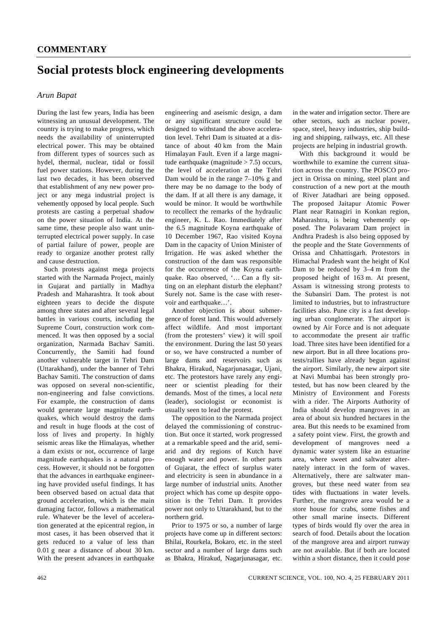## **Social protests block engineering developments**

## *Arun Bapat*

During the last few years, India has been witnessing an unusual development. The country is trying to make progress, which needs the availability of uninterrupted electrical power. This may be obtained from different types of sources such as hydel, thermal, nuclear, tidal or fossil fuel power stations. However, during the last two decades, it has been observed that establishment of any new power project or any mega industrial project is vehemently opposed by local people. Such protests are casting a perpetual shadow on the power situation of India. At the same time, these people also want uninterrupted electrical power supply. In case of partial failure of power, people are ready to organize another protest rally and cause destruction.

 Such protests against mega projects started with the Narmada Project, mainly in Gujarat and partially in Madhya Pradesh and Maharashtra. It took about eighteen years to decide the dispute among three states and after several legal battles in various courts, including the Supreme Court, construction work commenced. It was then opposed by a social organization, Narmada Bachav Samiti. Concurrently, the Samiti had found another vulnerable target in Tehri Dam (Uttarakhand), under the banner of Tehri Bachav Samiti. The construction of dams was opposed on several non-scientific, non-engineering and false convictions. For example, the construction of dams would generate large magnitude earthquakes, which would destroy the dams and result in huge floods at the cost of loss of lives and property. In highly seismic areas like the Himalayas, whether a dam exists or not, occurrence of large magnitude earthquakes is a natural process. However, it should not be forgotten that the advances in earthquake engineering have provided useful findings. It has been observed based on actual data that ground acceleration, which is the main damaging factor, follows a mathematical rule. Whatever be the level of acceleration generated at the epicentral region, in most cases, it has been observed that it gets reduced to a value of less than 0.01 g near a distance of about 30 km. With the present advances in earthquake

engineering and aseismic design, a dam or any significant structure could be designed to withstand the above acceleration level. Tehri Dam is situated at a distance of about 40 km from the Main Himalayan Fault. Even if a large magnitude earthquake (magnitude  $> 7.5$ ) occurs, the level of acceleration at the Tehri Dam would be in the range  $7-10\%$  g and there may be no damage to the body of the dam. If at all there is any damage, it would be minor. It would be worthwhile to recollect the remarks of the hydraulic engineer, K. L. Rao. Immediately after the 6.5 magnitude Koyna earthquake of 10 December 1967, Rao visited Koyna Dam in the capacity of Union Minister of Irrigation. He was asked whether the construction of the dam was responsible for the occurrence of the Koyna earthquake. Rao observed, '… Can a fly sitting on an elephant disturb the elephant? Surely not. Same is the case with reservoir and earthquake…'.

 Another objection is about submergence of forest land. This would adversely affect wildlife. And most important (from the protesters' view) it will spoil the environment. During the last 50 years or so, we have constructed a number of large dams and reservoirs such as Bhakra, Hirakud, Nagarjunasagar, Ujani, etc. The protestors have rarely any engineer or scientist pleading for their demands. Most of the times, a local *neta*  (leader), sociologist or economist is usually seen to lead the protest.

 The opposition to the Narmada project delayed the commissioning of construction. But once it started, work progressed at a remarkable speed and the arid, semiarid and dry regions of Kutch have enough water and power. In other parts of Gujarat, the effect of surplus water and electricity is seen in abundance in a large number of industrial units. Another project which has come up despite opposition is the Tehri Dam. It provides power not only to Uttarakhand, but to the northern grid.

 Prior to 1975 or so, a number of large projects have come up in different sectors: Bhilai, Rourkela, Bokaro, etc. in the steel sector and a number of large dams such as Bhakra, Hirakud, Nagarjunasagar, etc. in the water and irrigation sector. There are other sectors, such as nuclear power, space, steel, heavy industries, ship building and shipping, railways, etc. All these projects are helping in industrial growth.

 With this background it would be worthwhile to examine the current situation across the country. The POSCO project in Orissa on mining, steel plant and construction of a new port at the mouth of River Jatadhari are being opposed. The proposed Jaitapur Atomic Power Plant near Ratnagiri in Konkan region, Maharashtra, is being vehemently opposed. The Polavaram Dam project in Andhra Pradesh is also being opposed by the people and the State Governments of Orissa and Chhattisgarh. Protestors in Himachal Pradesh want the height of Kol Dam to be reduced by 3–4 m from the proposed height of 163 m. At present, Assam is witnessing strong protests to the Subansiri Dam. The protest is not limited to industries, but to infrastructure facilities also. Pune city is a fast developing urban conglomerate. The airport is owned by Air Force and is not adequate to accommodate the present air traffic load. Three sites have been identified for a new airport. But in all three locations protests/rallies have already begun against the airport. Similarly, the new airport site at Navi Mumbai has been strongly protested, but has now been cleared by the Ministry of Environment and Forests with a rider. The Airports Authority of India should develop mangroves in an area of about six hundred hectares in the area. But this needs to be examined from a safety point view. First, the growth and development of mangroves need a dynamic water system like an estuarine area, where sweet and saltwater alternately interact in the form of waves. Alternatively, there are saltwater mangroves, but these need water from sea tides with fluctuations in water levels. Further, the mangrove area would be a store house for crabs, some fishes and other small marine insects. Different types of birds would fly over the area in search of food. Details about the location of the mangrove area and airport runway are not available. But if both are located within a short distance, then it could pose